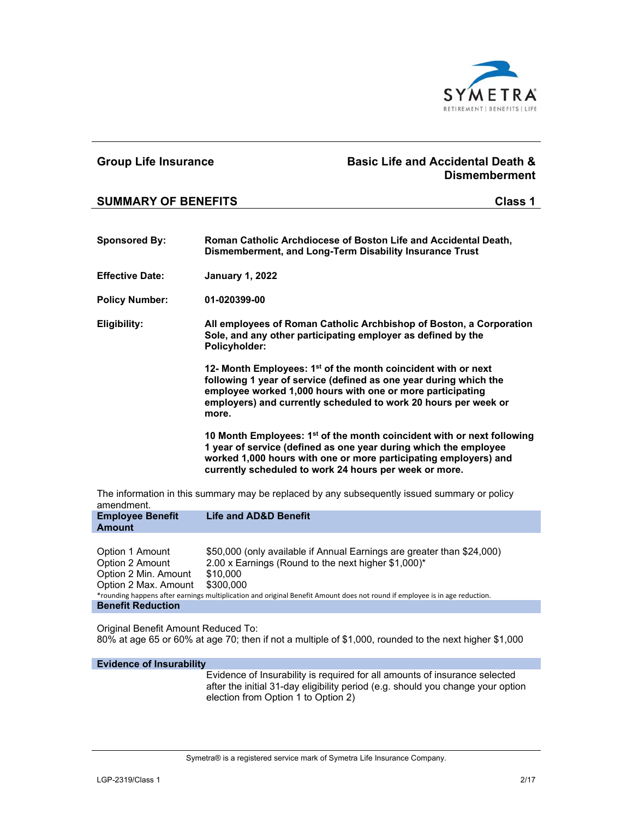

## **Group Life Insurance Basic Life and Accidental Death & Dismemberment SUMMARY OF BENEFITS Class 1 Sponsored By: Roman Catholic Archdiocese of Boston Life and Accidental Death, Dismemberment, and Long-Term Disability Insurance Trust Effective Date: January 1, 2022 Policy Number: 01-020399-00 Eligibility: All employees of Roman Catholic Archbishop of Boston, a Corporation Sole, and any other participating employer as defined by the Policyholder: 12- Month Employees: 1st of the month coincident with or next following 1 year of service (defined as one year during which the employee worked 1,000 hours with one or more participating employers) and currently scheduled to work 20 hours per week or more. 10 Month Employees: 1st of the month coincident with or next following 1 year of service (defined as one year during which the employee worked 1,000 hours with one or more participating employers) and currently scheduled to work 24 hours per week or more.**  The information in this summary may be replaced by any subsequently issued summary or policy amendment. **Employee Benefit Amount Life and AD&D Benefit**

| Option 1 Amount                                                                                                             | \$50,000 (only available if Annual Earnings are greater than \$24,000) |
|-----------------------------------------------------------------------------------------------------------------------------|------------------------------------------------------------------------|
| Option 2 Amount                                                                                                             | 2.00 x Earnings (Round to the next higher \$1,000)*                    |
| Option 2 Min. Amount                                                                                                        | \$10.000                                                               |
| Option 2 Max. Amount                                                                                                        | \$300.000                                                              |
| *rounding happens after earnings multiplication and original Benefit Amount does not round if employee is in age reduction. |                                                                        |
| <b>Benefit Reduction</b>                                                                                                    |                                                                        |

Original Benefit Amount Reduced To: 80% at age 65 or 60% at age 70; then if not a multiple of \$1,000, rounded to the next higher \$1,000

**Evidence of Insurability**

 Evidence of Insurability is required for all amounts of insurance selected after the initial 31-day eligibility period (e.g. should you change your option election from Option 1 to Option 2)

Symetra® is a registered service mark of Symetra Life Insurance Company.